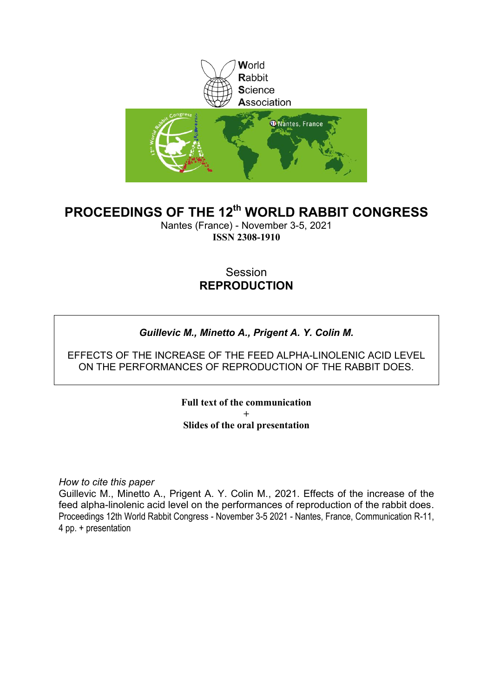

### **PROCEEDINGS OF THE 12th WORLD RABBIT CONGRESS**

Nantes (France) - November 3-5, 2021 **ISSN 2308-1910**

### Session **REPRODUCTION**

### *Guillevic M., Minetto A., Prigent A. Y. Colin M.*

### EFFECTS OF THE INCREASE OF THE FEED ALPHA-LINOLENIC ACID LEVEL ON THE PERFORMANCES OF REPRODUCTION OF THE RABBIT DOES.

**Full text of the communication + Slides of the oral presentation**

*How to cite this paper*

Guillevic M., Minetto A., Prigent A. Y. Colin M., 2021. Effects of the increase of the feed alpha-linolenic acid level on the performances of reproduction of the rabbit does. Proceedings 12th World Rabbit Congress - November 3-5 2021 - Nantes, France, Communication R-11, 4 pp. + presentation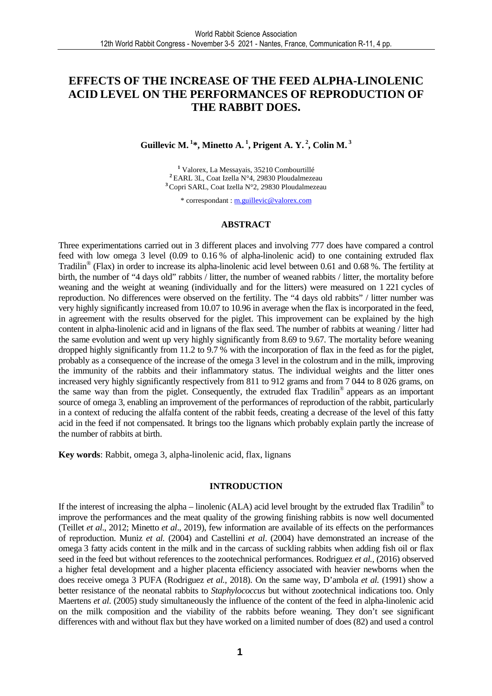### **EFFECTS OF THE INCREASE OF THE FEED ALPHA-LINOLENIC ACID LEVEL ON THE PERFORMANCES OF REPRODUCTION OF THE RABBIT DOES.**

### **Guillevic M.<sup>1</sup>\*, Minetto A.<sup>1</sup>, Prigent A. Y.<sup>2</sup>, Colin M.<sup>3</sup>**

**1** Valorex, La Messayais, 35210 Combourtillé **<sup>2</sup>**EARL 3L, Coat Izella N°4, 29830 Ploudalmezeau **<sup>3</sup>**Copri SARL, Coat Izella N°2, 29830 Ploudalmezeau

\* correspondant : m.guillevic@valorex.com

#### **ABSTRACT**

Three experimentations carried out in 3 different places and involving 777 does have compared a control feed with low omega 3 level (0.09 to 0.16 % of alpha-linolenic acid) to one containing extruded flax Tradilin<sup>®</sup> (Flax) in order to increase its alpha-linolenic acid level between 0.61 and 0.68 %. The fertility at birth, the number of "4 days old" rabbits / litter, the number of weaned rabbits / litter, the mortality before weaning and the weight at weaning (individually and for the litters) were measured on 1 221 cycles of reproduction. No differences were observed on the fertility. The "4 days old rabbits" / litter number was very highly significantly increased from 10.07 to 10.96 in average when the flax is incorporated in the feed, in agreement with the results observed for the piglet. This improvement can be explained by the high content in alpha-linolenic acid and in lignans of the flax seed. The number of rabbits at weaning / litter had the same evolution and went up very highly significantly from 8.69 to 9.67. The mortality before weaning dropped highly significantly from 11.2 to 9.7 % with the incorporation of flax in the feed as for the piglet, probably as a consequence of the increase of the omega 3 level in the colostrum and in the milk, improving the immunity of the rabbits and their inflammatory status. The individual weights and the litter ones increased very highly significantly respectively from 811 to 912 grams and from 7 044 to 8 026 grams, on the same way than from the piglet. Consequently, the extruded flax Tradilin® appears as an important source of omega 3, enabling an improvement of the performances of reproduction of the rabbit, particularly in a context of reducing the alfalfa content of the rabbit feeds, creating a decrease of the level of this fatty acid in the feed if not compensated. It brings too the lignans which probably explain partly the increase of the number of rabbits at birth.

**Key words**: Rabbit, omega 3, alpha-linolenic acid, flax, lignans

#### **INTRODUCTION**

If the interest of increasing the alpha – linolenic (ALA) acid level brought by the extruded flax Tradilin<sup>®</sup> to improve the performances and the meat quality of the growing finishing rabbits is now well documented (Teillet *et al*., 2012; Minetto *et al*., 2019), few information are available of its effects on the performances of reproduction. Muniz *et al.* (2004) and Castellini *et al*. (2004) have demonstrated an increase of the omega 3 fatty acids content in the milk and in the carcass of suckling rabbits when adding fish oil or flax seed in the feed but without references to the zootechnical performances. Rodriguez *et al.,* (2016) observed a higher fetal development and a higher placenta efficiency associated with heavier newborns when the does receive omega 3 PUFA (Rodriguez *et al.,* 2018). On the same way, D'ambola *et al.* (1991) show a better resistance of the neonatal rabbits to *Staphylococcus* but without zootechnical indications too. Only Maertens *et al*. (2005) study simultaneously the influence of the content of the feed in alpha-linolenic acid on the milk composition and the viability of the rabbits before weaning. They don't see significant differences with and without flax but they have worked on a limited number of does (82) and used a control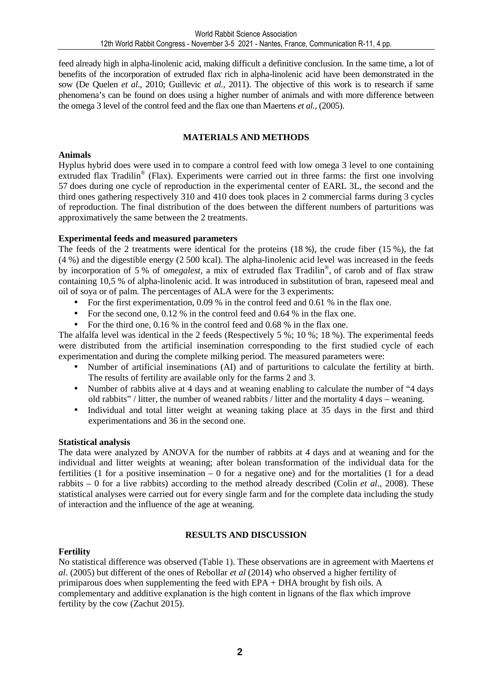feed already high in alpha-linolenic acid, making difficult a definitive conclusion. In the same time, a lot of benefits of the incorporation of extruded flax, rich in alpha-linolenic acid have been demonstrated in the sow (De Quelen *et al*., 2010; Guillevic *et al.,* 2011). The objective of this work is to research if same phenomena's can be found on does using a higher number of animals and with more difference between the omega 3 level of the control feed and the flax one than Maertens *et al.,* (2005).

### **MATERIALS AND METHODS**

### **Animals**

Hyplus hybrid does were used in to compare a control feed with low omega 3 level to one containing extruded flax Tradilin<sup>®</sup> (Flax). Experiments were carried out in three farms: the first one involving 57 does during one cycle of reproduction in the experimental center of EARL 3L, the second and the third ones gathering respectively 310 and 410 does took places in 2 commercial farms during 3 cycles of reproduction. The final distribution of the does between the different numbers of parturitions was approximatively the same between the 2 treatments.

### **Experimental feeds and measured parameters**

The feeds of the 2 treatments were identical for the proteins (18 %), the crude fiber (15 %), the fat (4 %) and the digestible energy (2 500 kcal). The alpha-linolenic acid level was increased in the feeds by incorporation of 5 % of *omegalest,* a mix of extruded flax Tradilin® , of carob and of flax straw containing 10,5 % of alpha-linolenic acid. It was introduced in substitution of bran, rapeseed meal and oil of soya or of palm. The percentages of ALA were for the 3 experiments:

- For the first experimentation, 0.09 % in the control feed and 0.61 % in the flax one.
- For the second one,  $0.12\%$  in the control feed and  $0.64\%$  in the flax one.
- For the third one, 0.16 % in the control feed and 0.68 % in the flax one.

The alfalfa level was identical in the 2 feeds (Respectively 5 %; 10 %; 18 %). The experimental feeds were distributed from the artificial insemination corresponding to the first studied cycle of each experimentation and during the complete milking period. The measured parameters were:

- Number of artificial inseminations (AI) and of parturitions to calculate the fertility at birth. The results of fertility are available only for the farms 2 and 3.
- Number of rabbits alive at 4 days and at weaning enabling to calculate the number of "4 days" old rabbits" / litter, the number of weaned rabbits / litter and the mortality 4 days – weaning.
- Individual and total litter weight at weaning taking place at 35 days in the first and third experimentations and 36 in the second one.

#### **Statistical analysis**

The data were analyzed by ANOVA for the number of rabbits at 4 days and at weaning and for the individual and litter weights at weaning; after bolean transformation of the individual data for the fertilities (1 for a positive insemination – 0 for a negative one) and for the mortalities (1 for a dead rabbits – 0 for a live rabbits) according to the method already described (Colin *et al*., 2008). These statistical analyses were carried out for every single farm and for the complete data including the study of interaction and the influence of the age at weaning.

### **RESULTS AND DISCUSSION**

### **Fertility**

No statistical difference was observed (Table 1). These observations are in agreement with Maertens *et al*. (2005) but different of the ones of Rebollar *et al* (2014) who observed a higher fertility of primiparous does when supplementing the feed with EPA + DHA brought by fish oils. A complementary and additive explanation is the high content in lignans of the flax which improve fertility by the cow (Zachut 2015).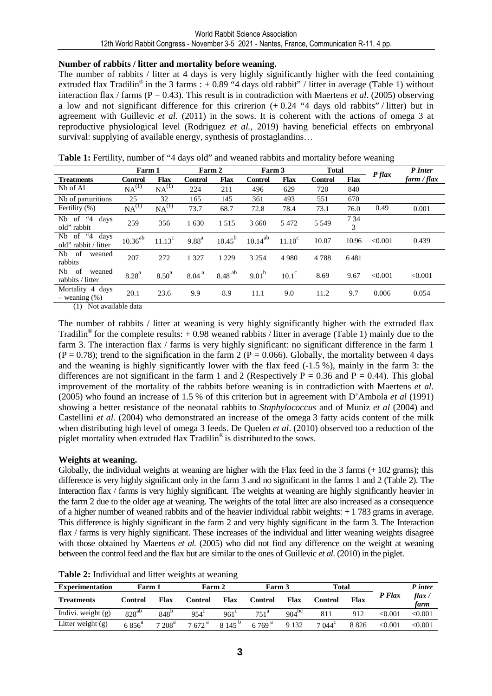### **Number of rabbits / litter and mortality before weaning.**

The number of rabbits / litter at 4 days is very highly significantly higher with the feed containing extruded flax Tradilin<sup>®</sup> in the 3 farms : +0.89 "4 days old rabbit" / litter in average (Table 1) without interaction flax / farms (P = 0.43). This result is in contradiction with Maertens *et al*. (2005) observing a low and not significant difference for this crirerion  $(+ 0.24$  "4 days old rabbits" / litter) but in agreement with Guillevic *et al.* (2011) in the sows. It is coherent with the actions of omega 3 at reproductive physiological level (Rodriguez *et al.,* 2019) having beneficial effects on embryonal survival: supplying of available energy, synthesis of prostaglandins...

Table 1: Fertility, number of "4 days old" and weaned rabbits and mortality before weaning

|                                                       | Farm 1            |                   | Farm 2            |                      | Farm 3         |                 | <b>Total</b>   |             | $P$ <i>flax</i> | P Inter     |
|-------------------------------------------------------|-------------------|-------------------|-------------------|----------------------|----------------|-----------------|----------------|-------------|-----------------|-------------|
| <b>Treatments</b>                                     | <b>Control</b>    | <b>Flax</b>       | <b>Control</b>    | <b>Flax</b>          | <b>Control</b> | <b>Flax</b>     | <b>Control</b> | <b>Flax</b> |                 | farm / flax |
| Nb of AI                                              | NA <sup>(1)</sup> | NA <sup>(1)</sup> | 224               | 211                  | 496            | 629             | 720            | 840         |                 |             |
| Nb of parturitions                                    | 25                | 32                | 165               | 145                  | 361            | 493             | 551            | 670         |                 |             |
| Fertility (%)                                         | NA <sup>(1)</sup> | NA <sup>(1)</sup> | 73.7              | 68.7                 | 72.8           | 78.4            | 73.1           | 76.0        | 0.49            | 0.001       |
| of "4<br>Nb.<br>days<br>old" rabbit                   | 259               | 356               | 1630              | 1515                 | 3 6 6 0        | 5472            | 5 5 4 9        | 7 34<br>3   |                 |             |
| $4^{\circ}4$<br>Nb of<br>days<br>old" rabbit / litter | $10.36^{ab}$      | $11.13^c$         | $9.88^{a}$        | $10.45^{b}$          | $10.14^{ab}$   | $11.10^{\circ}$ | 10.07          | 10.96       | < 0.001         | 0.439       |
| of<br>Nb<br>weaned<br>rabbits                         | 207               | 272               | 1 3 2 7           | 1 2 2 9              | 3 2 5 4        | 4 9 8 0         | 4788           | 6481        |                 |             |
| of<br>Nb<br>weaned<br>rabbits / litter                | 8.28 <sup>a</sup> | 8.50 <sup>a</sup> | 8.04 <sup>a</sup> | $8.48$ <sup>ab</sup> | $9.01^{\rm b}$ | $10.1^\circ$    | 8.69           | 9.67        | < 0.001         | < 0.001     |
| Mortality 4 days<br>$-$ weaning $(\%)$                | 20.1              | 23.6              | 9.9               | 8.9                  | 11.1           | 9.0             | 11.2           | 9.7         | 0.006           | 0.054       |

(1) Not available data

The number of rabbits / litter at weaning is very highly significantly higher with the extruded flax Tradilin<sup>®</sup> for the complete results:  $+0.98$  weaned rabbits / litter in average (Table 1) mainly due to the farm 3. The interaction flax / farms is very highly significant: no significant difference in the farm 1  $(P = 0.78)$ ; trend to the signification in the farm 2 (P = 0.066). Globally, the mortality between 4 days and the weaning is highly significantly lower with the flax feed (-1.5 %), mainly in the farm 3: the differences are not significant in the farm 1 and 2 (Respectively  $P = 0.36$  and  $P = 0.44$ ). This global improvement of the mortality of the rabbits before weaning is in contradiction with Maertens *et al*. (2005) who found an increase of 1.5 % of this criterion but in agreement with D'Ambola *et al* (1991) showing a better resistance of the neonatal rabbits to *Staphylococcus* and of Muniz *et al* (2004) and Castellini *et al.* (2004) who demonstrated an increase of the omega 3 fatty acids content of the milk when distributing high level of omega 3 feeds. De Quelen *et al*. (2010) observed too a reduction of the piglet mortality when extruded flax Tradilin® is distributed to the sows.

### **Weights at weaning.**

Globally, the individual weights at weaning are higher with the Flax feed in the 3 farms (+ 102 grams); this difference is very highly significant only in the farm 3 and no significant in the farms 1 and 2 (Table 2). The Interaction flax / farms is very highly significant. The weights at weaning are highly significantly heavier in the farm 2 due to the older age at weaning. The weights of the total litter are also increased as a consequence of a higher number of weaned rabbits and of the heavier individual rabbit weights: + 1 783 grams in average. This difference is highly significant in the farm 2 and very highly significant in the farm 3. The Interaction flax / farms is very highly significant. These increases of the individual and litter weaning weights disagree with those obtained by Maertens *et al.* (2005) who did not find any difference on the weight at weaning between the control feed and the flax but are similar to the ones of Guillevic *et al.* (2010) in the piglet.

| <b>Experimentation</b> | Farm 1         |               | Farm 2            |                    | Farm 3             |            | <b>Total</b>    |      |              | P inter                     |
|------------------------|----------------|---------------|-------------------|--------------------|--------------------|------------|-----------------|------|--------------|-----------------------------|
| <b>Treatments</b>      | Control        | Flax          | Control           | Flax               | Control            | Flax       | Control         | Flax | P Flax       | flax $\overline{a}$<br>farm |
| Indivi. weight $(g)$   | $828^{ab}$     | $848^{\circ}$ | $954^\circ$       | $961^\circ$        | $751^{\mathrm{a}}$ | $904^{bc}$ | 811             | 912  | $<\!\!0.001$ | < 0.001                     |
| Litter weight $(g)$    | $6856^{\rm a}$ | $7208^a$      | $7672^{\text{a}}$ | 8 145 <sup>p</sup> | 6 769 <sup>a</sup> | 9 1 3 2    | $7.044^{\circ}$ | 8826 | < 0.001      | < 0.001                     |

**Table 2:** Individual and litter weights at weaning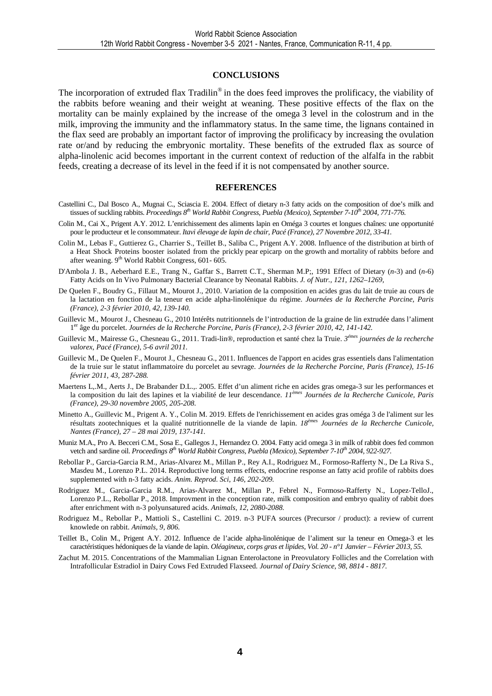#### **CONCLUSIONS**

The incorporation of extruded flax Tradilin<sup>®</sup> in the does feed improves the prolificacy, the viability of the rabbits before weaning and their weight at weaning. These positive effects of the flax on the mortality can be mainly explained by the increase of the omega 3 level in the colostrum and in the milk, improving the immunity and the inflammatory status. In the same time, the lignans contained in the flax seed are probably an important factor of improving the prolificacy by increasing the ovulation rate or/and by reducing the embryonic mortality. These benefits of the extruded flax as source of alpha-linolenic acid becomes important in the current context of reduction of the alfalfa in the rabbit feeds, creating a decrease of its level in the feed if it is not compensated by another source.

#### **REFERENCES**

- Castellini C., Dal Bosco A., Mugnai C., Sciascia E. 2004. Effect of dietary n-3 fatty acids on the composition of doe's milk and tissues of suckling rabbits. *Proceedings 8th World Rabbit Congress, Puebla (Mexico), September 7-10th 2004, 771-776.*
- Colin M., Cai X., Prigent A.Y. 2012. L'enrichissement des aliments lapin en Oméga 3 courtes et longues chaînes: une opportunité pour le producteur et le consommateur. *Itavi élevage de lapin de chair, Pacé (France), 27 Novembre 2012, 33-41.*
- Colin M., Lebas F., Guttierez G., Charrier S., Teillet B., Saliba C., Prigent A.Y. 2008. Influence of the distribution at birth of a Heat Shock Proteins booster isolated from the prickly pear epicarp on the growth and mortality of rabbits before and after weaning.  $9<sup>th</sup>$  World Rabbit Congress, 601-605.
- D'Ambola J. B., Aeberhard E.E., Trang N., Gaffar S., Barrett C.T., Sherman M.P;, 1991 Effect of Dietary (*n*-3) and (*n*-6) Fatty Acids on In Vivo Pulmonary Bacterial Clearance by Neonatal Rabbits. *J. of Nutr., 121, 1262–1269,*
- De Quelen F., Boudry G., Fillaut M., Mourot J., 2010. Variation de la composition en acides gras du lait de truie au cours de la lactation en fonction de la teneur en acide alpha-linolénique du régime. *Journées de la Recherche Porcine, Paris (France), 2-3 février 2010, 42, 139-140.*
- Guillevic M., Mourot J., Chesneau G., 2010 Intérêts nutritionnels de l'introduction de la graine de lin extrudée dans l'aliment 1<sup>er</sup> âge du porcelet. Journées de la Recherche Porcine, Paris (France), 2-3 février 2010, 42, 141-142.
- Guillevic M., Mairesse G., Chesneau G., 2011. Tradi-lin®, reproduction et santé chez la Truie. *3 émes journées de la recherche valorex, Pacé (France), 5-6 avril 2011.*
- Guillevic M., De Quelen F., Mourot J., Chesneau G., 2011. Influences de l'apport en acides gras essentiels dans l'alimentation de la truie sur le statut inflammatoire du porcelet au sevrage. *Journées de la Recherche Porcine, Paris (France), 15-16 février 2011, 43, 287-288.*
- Maertens L,.M., Aerts J., De Brabander D.L.,. 2005. Effet d'un aliment riche en acides gras omega-3 sur les performances et la composition du lait des lapines et la viabilité de leur descendance. *11èmes Journées de la Recherche Cunicole, Paris (France), 29-30 novembre 2005, 205-208.*
- Minetto A., Guillevic M., Prigent A. Y., Colin M. 2019. Effets de l'enrichissement en acides gras oméga 3 de l'aliment sur les résultats zootechniques et la qualité nutritionnelle de la viande de lapin. *18èmes Journées de la Recherche Cunicole, Nantes (France), 27 – 28 mai 2019, 137-141.*
- Muniz M.A., Pro A. Becceri C.M., Sosa E., Gallegos J., Hernandez O. 2004. Fatty acid omega 3 in milk of rabbit does fed common vetch and sardine oil. *Proceedings 8th World Rabbit Congress, Puebla (Mexico), September 7-10th 2004, 922-927.*
- Rebollar P., Garcia-Garcia R.M., Arias-Alvarez M., Millan P., Rey A.I., Rodriguez M., Formoso-Rafferty N., De La Riva S., Masdeu M., Lorenzo P.L. 2014. Reproductive long terms effects, endocrine response an fatty acid profile of rabbits does supplemented with n-3 fatty acids. *Anim. Reprod. Sci, 146, 202-209.*
- Rodriguez M., Garcia-Garcia R.M., Arias-Alvarez M., Millan P., Febrel N., Formoso-Rafferty N., Lopez-TelloJ., Lorenzo P.L., Rebollar P., 2018. Improvment in the conception rate, milk composition and embryo quality of rabbit does after enrichment with n-3 polyunsatured acids. *Animals, 12, 2080-2088.*
- Rodriguez M., Rebollar P., Mattioli S., Castellini C. 2019. n-3 PUFA sources (Precursor / product): a review of current knowlede on rabbit. *Animals, 9, 806.*
- Teillet B., Colin M., Prigent A.Y. 2012. Influence de l'acide alpha-linolénique de l'aliment sur la teneur en Omega-3 et les caractéristiques hédoniques de la viande de lapin. *Oléagineux, corps gras et lipides, Vol. 20 - n°1 Janvier – Février 2013, 55.*
- Zachut M. 2015. Concentrations of the Mammalian Lignan Enterolactone in Preovulatory Follicles and the Correlation with Intrafollicular Estradiol in Dairy Cows Fed Extruded Flaxseed*. Journal of Dairy Science, 98, 8814 - 8817.*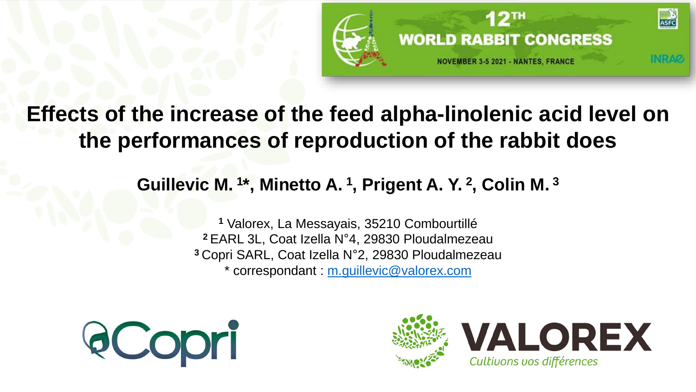

## **Effects of the increase of the feed alpha-linolenic acid level on the performances of reproduction of the rabbit does**

### **Guillevic M. <sup>1</sup> \*, Minetto A. <sup>1</sup> , Prigent A. Y. <sup>2</sup> , Colin M. <sup>3</sup>**

 Valorex, La Messayais, 35210 Combourtillé EARL 3L, Coat Izella N°4, 29830 Ploudalmezeau Copri SARL, Coat Izella N°2, 29830 Ploudalmezeau \* correspondant : [m.guillevic@valorex.com](mailto:a.minetto@valorex.com)



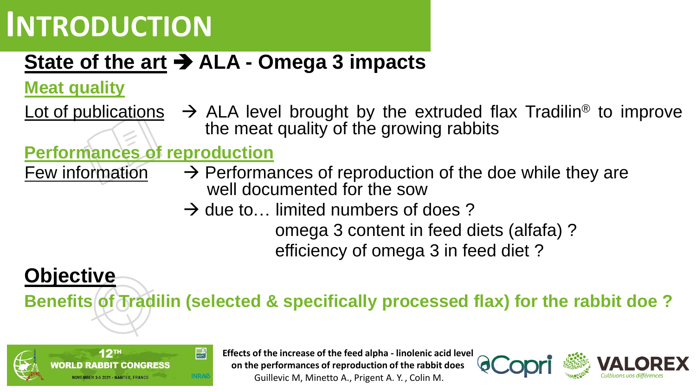# **INTRODUCTION**

# **State of the art** ➔ **ALA - Omega 3 impacts**

**Meat quality**

**Objective**

Lot of publications  $\rightarrow$  ALA level brought by the extruded flax Tradilin<sup>®</sup> to improve the meat quality of the growing rabbits

### **Performances of reproduction**

- Few information  $\rightarrow$  Performances of reproduction of the doe while they are well documented for the sow
	- $\rightarrow$  due to... limited numbers of does ?

omega 3 content in feed diets (alfafa) ? efficiency of omega 3 in feed diet ?

### **Benefits of Tradilin (selected & specifically processed flax) for the rabbit doe ?**



**Effects of the increase of the feed alpha - linolenic acid level on the performances of reproduction of the rabbit does** Guillevic M, Minetto A., Prigent A. Y. , Colin M.

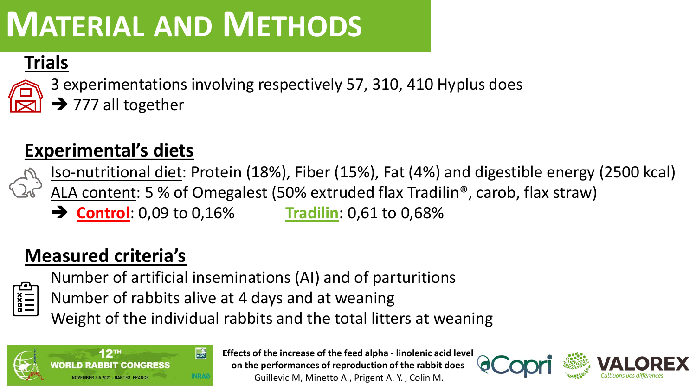# **MATERIAL AND METHODS**

### **Trials**



3 experimentations involving respectively 57, 310, 410 Hyplus does  $\rightarrow$  777 all together

## **Experimental's diets**

Iso-nutritional diet: Protein (18%), Fiber (15%), Fat (4%) and digestible energy (2500 kcal)

- ALA content: 5 % of Omegalest (50% extruded flax Tradilin®, carob, flax straw)
- ➔ **Control**: 0,09 to 0,16% **Tradilin**: 0,61 to 0,68%

## **Measured criteria's**

Number of artificial inseminations (AI) and of parturitions

 $\begin{array}{c} \n \overline{\mathbf{y}} \\ \n \overline{\mathbf{y}} \\ \n \overline{\mathbf{y}} \\ \n \end{array}$ Number of rabbits alive at 4 days and at weaning

Weight of the individual rabbits and the total litters at weaning



**Effects of the increase of the feed alpha - linolenic acid level on the performances of reproduction of the rabbit does** Guillevic M, Minetto A., Prigent A. Y. , Colin M.

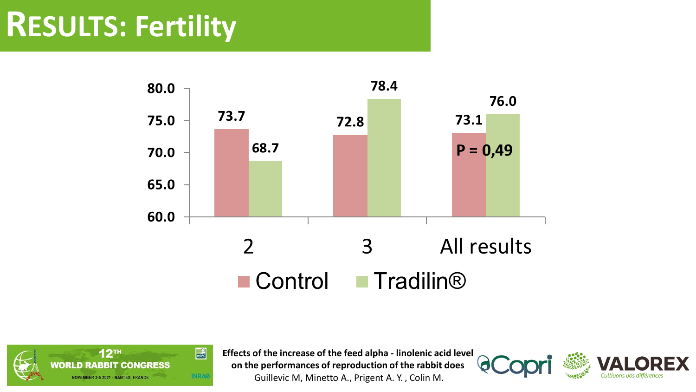# **RESULTS: Fertility**





**Effects of the increase of the feed alpha - linolenic acid level on the performances of reproduction of the rabbit does** Guillevic M, Minetto A., Prigent A. Y. , Colin M.



 $\bullet$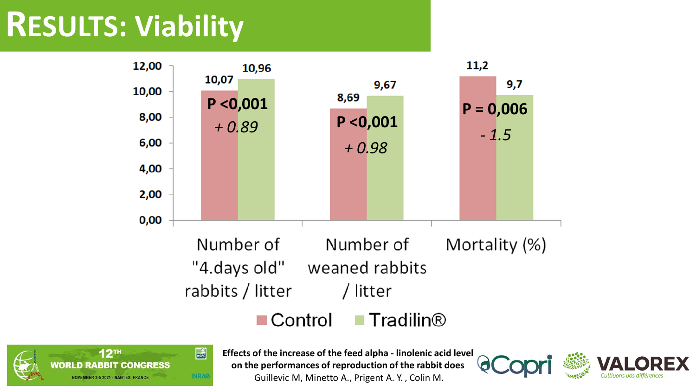# **RESULTS: Viability**





**Effects of the increase of the feed alpha - linolenic acid level on the performances of reproduction of the rabbit does** Guillevic M, Minetto A., Prigent A. Y. , Colin M.

Cultivons vos différenc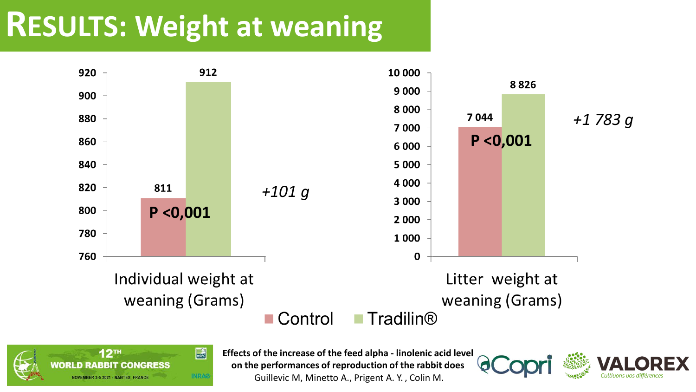# **RESULTS: Weight at weaning**





**Effects of the increase of the feed alpha - linolenic acid level on the performances of reproduction of the rabbit does** Guillevic M, Minetto A., Prigent A. Y. , Colin M.

Cultivons vos différence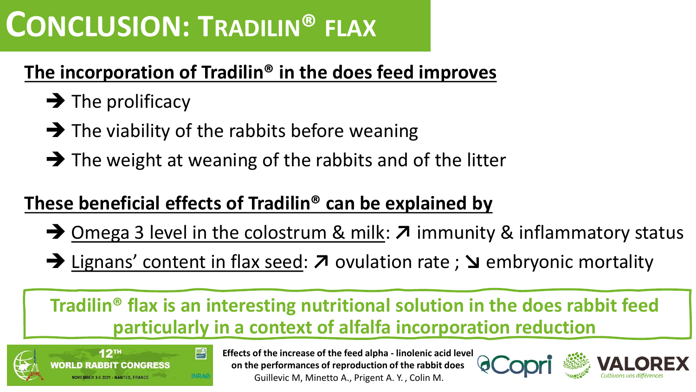# **CONCLUSION: TRADILIN® FLAX**

## **The incorporation of Tradilin® in the does feed improves**

- $\rightarrow$  The prolificacy
- $\rightarrow$  The viability of the rabbits before weaning
- $\rightarrow$  The weight at weaning of the rabbits and of the litter

## **These beneficial effects of Tradilin® can be explained by**

- ➔ Omega 3 level in the colostrum & milk: **↗** immunity & inflammatory status
- ➔ Lignans' content in flax seed: **↗** ovulation rate ; **↘** embryonic mortality

### **Tradilin® flax is an interesting nutritional solution in the does rabbit feed particularly in a context of alfalfa incorporation reduction**



**Effects of the increase of the feed alpha - linolenic acid level on the performances of reproduction of the rabbit does** Guillevic M, Minetto A., Prigent A. Y. , Colin M.